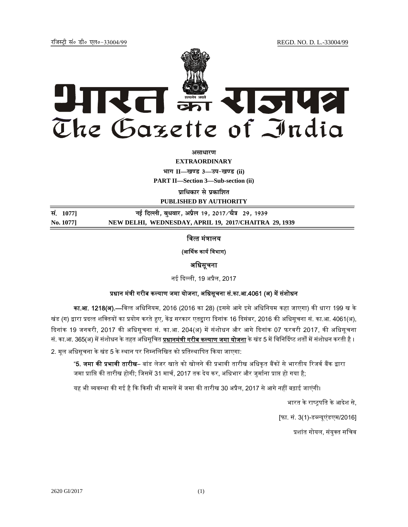jftLVªh laö Mhö ,yö&33004@99 REGD. NO. D. L.-33004/99



*असाधारण* 

**EXTRAORDINARY**  $\textbf{H} = \textbf{I}$  **II Highland**  $\textbf{I} = \textbf{I}$ 

**PART II—Section 3—Sub-section (ii)** 

**पाधिकार से प्रकाशित** 

**PUBLISHED BY AUTHORITY**

<u>Randel 1077]</u> 29, 1939 **and Fig. 1989** and Fig. 2017/11 2017/12 29, 1939 **No. 1077] NEW DELHI, WEDNESDAY, APRIL 19, 2017/CHAITRA 29, 1939**

# वित्त मंत्रालय

### (आर्थिक कार्य विभाग)

## अिधसूचना

नई दिल्ली, 19 अप्रैल, 2017

# प्रधान मंत्री गरीब कल्याण जमा योजना, अधिसूचना सं.का.आ.4061 (अ) में संशोधन

का.आ. 1218(अ).—िवत् त अिधिनयम, 2016 (2016 का 28) (इससे आगे इसे अिधिनयम कहा जाएगा) की धारा 199 ख के खंड (ग) द्वारा प्रदत्त शक्तियों का प्रयोग करते हुए, केंद्र सरकार एतद्दारा दिनांक 16 दिसंबर, 2016 की अधिसूचना सं. का.आ. 4061(अ), दिनांक 19 जनवरी, 2017 की अधिसूचना सं. का.आ. 204(अ) में संशोधन और आगे दिनांक 07 फरवरी 2017, की अधिसूचना सं. का.आ. 365(अ) में संशोधन के तहत अधिसूचित <u>प्र<mark>धानमंत्री गरीब कल्याण जमा योजना</mark> के खंड 5 में विनिर्दिष्ट शर्तों में संशोधन करती है</u> । 2. मूल अधिसूचना के खंड 5 के स्थान पर निम्नलिखित को प्रतिस्थापित किया जाएगा:

"**5. जमा की प्रभावी तारीख**– बांड लेजर खाते को खोलने की प्रभावी तारीख अधिकृत बैंकों से भारतीय रिजर्व बैंक द्वारा जमा प्राप्ति की तारीख होगी; जिसमें 31 मार्च, 2017 तक देय कर, अधिभार और जुर्माना प्राप्त हो गया है;

यह भी व्यवस्था की गई है कि किसी भी मामलें में जमा की तारीख 30 अप्रैल, 2017 से आगे नहीं बढ़ाई जाएंगी।

भारत के राष्ट्रपति के आदेश से,

[फा. सं. 3(1)-डब्ल्यूएंडएम/2016]

प्रशांत गोयल, संयुक्त सचिव